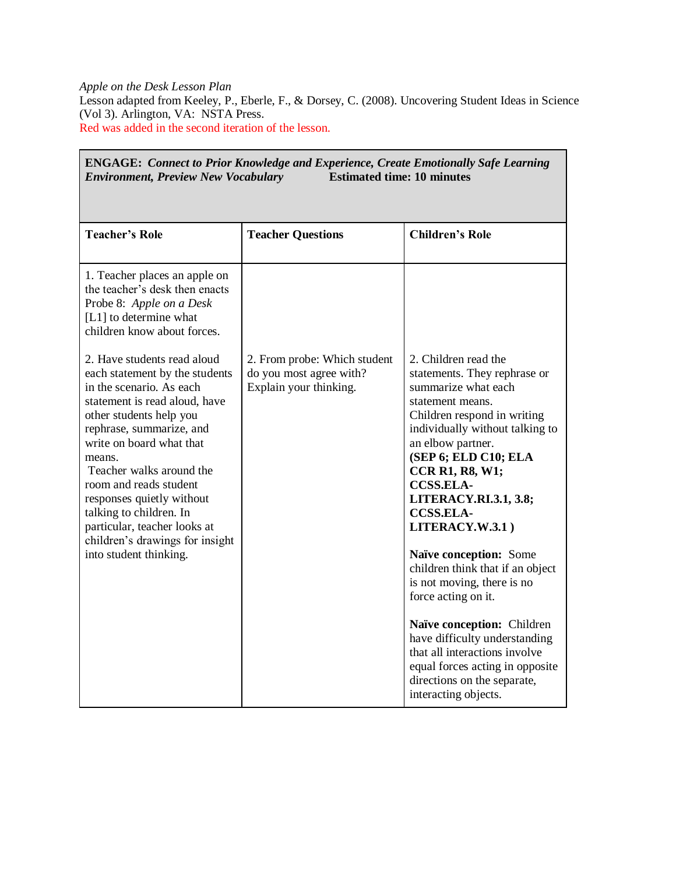*Apple on the Desk Lesson Plan* Lesson adapted from Keeley, P., Eberle, F., & Dorsey, C. (2008). Uncovering Student Ideas in Science (Vol 3). Arlington, VA: NSTA Press. Red was added in the second iteration of the lesson.

**ENGAGE:** *Connect to Prior Knowledge and Experience, Create Emotionally Safe Learning* 

| <b>Estimated time: 10 minutes</b><br><b>Environment, Preview New Vocabulary</b>                                                                                                                                                                                                                                                                                                                                                    |                                                                                   |                                                                                                                                                                                                                                                                                                                                                                                                                                                                                                                                                                                                                                                  |  |
|------------------------------------------------------------------------------------------------------------------------------------------------------------------------------------------------------------------------------------------------------------------------------------------------------------------------------------------------------------------------------------------------------------------------------------|-----------------------------------------------------------------------------------|--------------------------------------------------------------------------------------------------------------------------------------------------------------------------------------------------------------------------------------------------------------------------------------------------------------------------------------------------------------------------------------------------------------------------------------------------------------------------------------------------------------------------------------------------------------------------------------------------------------------------------------------------|--|
| <b>Teacher's Role</b>                                                                                                                                                                                                                                                                                                                                                                                                              | <b>Teacher Questions</b>                                                          | <b>Children's Role</b>                                                                                                                                                                                                                                                                                                                                                                                                                                                                                                                                                                                                                           |  |
| 1. Teacher places an apple on<br>the teacher's desk then enacts<br>Probe 8: Apple on a Desk<br>[L1] to determine what<br>children know about forces.                                                                                                                                                                                                                                                                               |                                                                                   |                                                                                                                                                                                                                                                                                                                                                                                                                                                                                                                                                                                                                                                  |  |
| 2. Have students read aloud<br>each statement by the students<br>in the scenario. As each<br>statement is read aloud, have<br>other students help you<br>rephrase, summarize, and<br>write on board what that<br>means.<br>Teacher walks around the<br>room and reads student<br>responses quietly without<br>talking to children. In<br>particular, teacher looks at<br>children's drawings for insight<br>into student thinking. | 2. From probe: Which student<br>do you most agree with?<br>Explain your thinking. | 2. Children read the<br>statements. They rephrase or<br>summarize what each<br>statement means.<br>Children respond in writing<br>individually without talking to<br>an elbow partner.<br>(SEP 6; ELD C10; ELA<br><b>CCR R1, R8, W1;</b><br><b>CCSS.ELA-</b><br><b>LITERACY.RI.3.1, 3.8;</b><br><b>CCSS.ELA-</b><br>LITERACY.W.3.1)<br>Naïve conception: Some<br>children think that if an object<br>is not moving, there is no<br>force acting on it.<br>Naïve conception: Children<br>have difficulty understanding<br>that all interactions involve<br>equal forces acting in opposite<br>directions on the separate,<br>interacting objects. |  |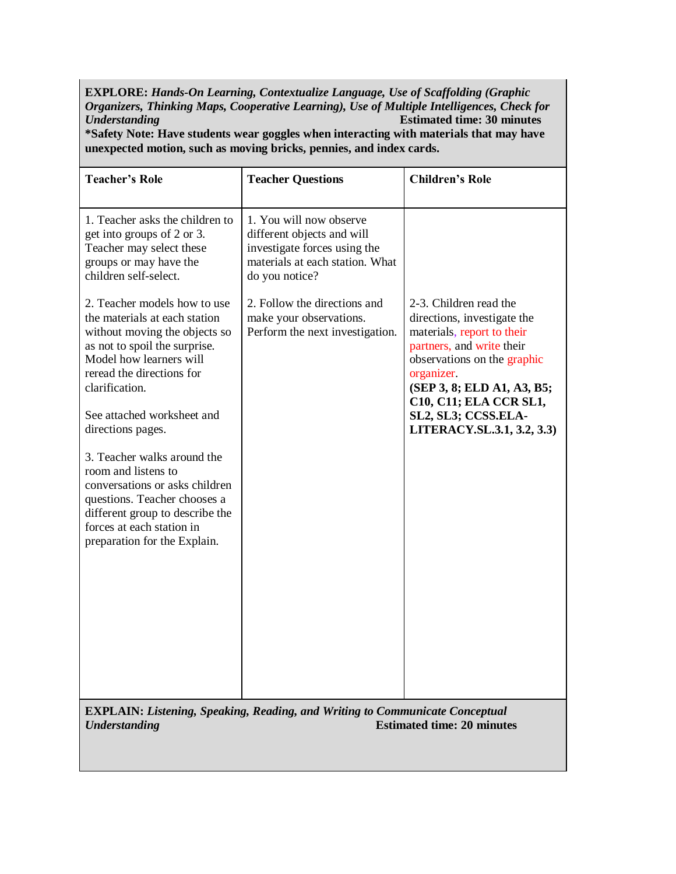**EXPLORE:** *Hands-On Learning, Contextualize Language, Use of Scaffolding (Graphic Organizers, Thinking Maps, Cooperative Learning), Use of Multiple Intelligences, Check for Understanding* **Estimated time: 30 minutes \*Safety Note: Have students wear goggles when interacting with materials that may have** 

**unexpected motion, such as moving bricks, pennies, and index cards.**

| <b>Teacher's Role</b>                                                                                                                                                                                                                                                                                                                                                                                                                                                                | <b>Teacher Questions</b>                                                                                                                   | <b>Children's Role</b>                                                                                                                                                                                                                                                     |  |  |
|--------------------------------------------------------------------------------------------------------------------------------------------------------------------------------------------------------------------------------------------------------------------------------------------------------------------------------------------------------------------------------------------------------------------------------------------------------------------------------------|--------------------------------------------------------------------------------------------------------------------------------------------|----------------------------------------------------------------------------------------------------------------------------------------------------------------------------------------------------------------------------------------------------------------------------|--|--|
| 1. Teacher asks the children to<br>get into groups of 2 or 3.<br>Teacher may select these<br>groups or may have the<br>children self-select.                                                                                                                                                                                                                                                                                                                                         | 1. You will now observe<br>different objects and will<br>investigate forces using the<br>materials at each station. What<br>do you notice? |                                                                                                                                                                                                                                                                            |  |  |
| 2. Teacher models how to use<br>the materials at each station<br>without moving the objects so<br>as not to spoil the surprise.<br>Model how learners will<br>reread the directions for<br>clarification.<br>See attached worksheet and<br>directions pages.<br>3. Teacher walks around the<br>room and listens to<br>conversations or asks children<br>questions. Teacher chooses a<br>different group to describe the<br>forces at each station in<br>preparation for the Explain. | 2. Follow the directions and<br>make your observations.<br>Perform the next investigation.                                                 | 2-3. Children read the<br>directions, investigate the<br>materials, report to their<br>partners, and write their<br>observations on the graphic<br>organizer.<br>(SEP 3, 8; ELD A1, A3, B5;<br>C10, C11; ELA CCR SL1,<br>SL2, SL3; CCSS.ELA-<br>LITERACY.SL.3.1, 3.2, 3.3) |  |  |
| <b>EXPLAIN: Listening, Speaking, Reading, and Writing to Communicate Conceptual</b><br><b>Estimated time: 20 minutes</b><br><b>Understanding</b>                                                                                                                                                                                                                                                                                                                                     |                                                                                                                                            |                                                                                                                                                                                                                                                                            |  |  |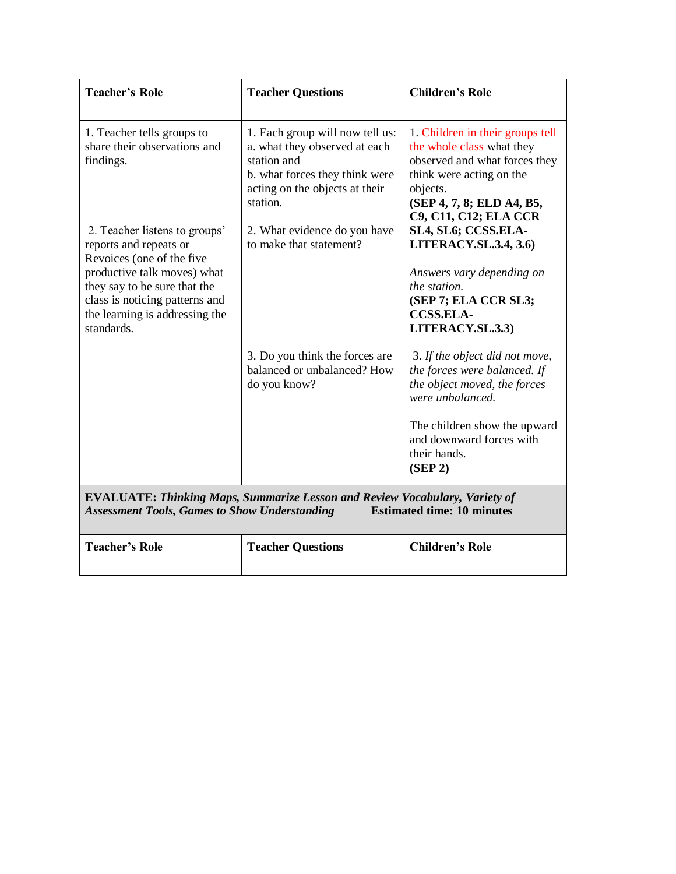| <b>Teacher's Role</b>                                                                                                                                                                                                                 | <b>Teacher Questions</b>                                                                                                                                        | <b>Children's Role</b>                                                                                                                                                                                    |  |
|---------------------------------------------------------------------------------------------------------------------------------------------------------------------------------------------------------------------------------------|-----------------------------------------------------------------------------------------------------------------------------------------------------------------|-----------------------------------------------------------------------------------------------------------------------------------------------------------------------------------------------------------|--|
| 1. Teacher tells groups to<br>share their observations and<br>findings.                                                                                                                                                               | 1. Each group will now tell us:<br>a. what they observed at each<br>station and<br>b. what forces they think were<br>acting on the objects at their<br>station. | 1. Children in their groups tell<br>the whole class what they<br>observed and what forces they<br>think were acting on the<br>objects.<br>(SEP 4, 7, 8; ELD A4, B5,<br><b>C9, C11, C12; ELA CCR</b>       |  |
| 2. Teacher listens to groups'<br>reports and repeats or<br>Revoices (one of the five<br>productive talk moves) what<br>they say to be sure that the<br>class is noticing patterns and<br>the learning is addressing the<br>standards. | 2. What evidence do you have<br>to make that statement?                                                                                                         | SL4, SL6; CCSS.ELA-<br><b>LITERACY.SL.3.4, 3.6)</b><br>Answers vary depending on<br>the station.<br>(SEP 7; ELA CCR SL3;<br><b>CCSS.ELA-</b><br>LITERACY.SL.3.3)                                          |  |
|                                                                                                                                                                                                                                       | 3. Do you think the forces are<br>balanced or unbalanced? How<br>do you know?                                                                                   | 3. If the object did not move,<br>the forces were balanced. If<br>the object moved, the forces<br>were unbalanced.<br>The children show the upward<br>and downward forces with<br>their hands.<br>(SEP 2) |  |
| <b>EVALUATE: Thinking Maps, Summarize Lesson and Review Vocabulary, Variety of</b><br><b>Estimated time: 10 minutes</b><br><b>Assessment Tools, Games to Show Understanding</b>                                                       |                                                                                                                                                                 |                                                                                                                                                                                                           |  |
| <b>Teacher's Role</b>                                                                                                                                                                                                                 | <b>Teacher Questions</b>                                                                                                                                        | <b>Children's Role</b>                                                                                                                                                                                    |  |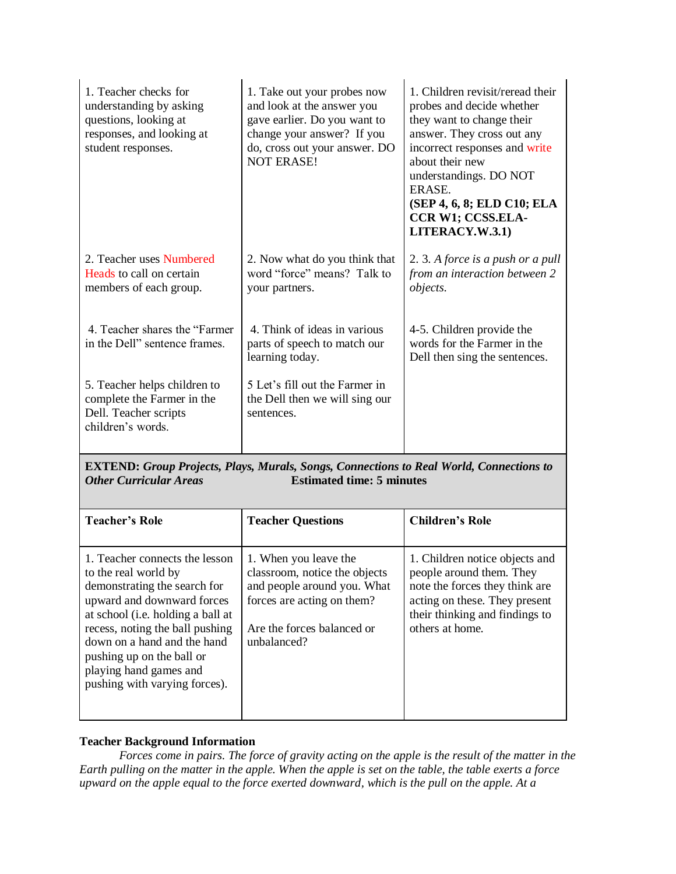| 1. Teacher checks for<br>understanding by asking<br>questions, looking at<br>responses, and looking at<br>student responses. | 1. Take out your probes now<br>and look at the answer you<br>gave earlier. Do you want to<br>change your answer? If you<br>do, cross out your answer. DO<br><b>NOT ERASE!</b> | 1. Children revisit/reread their<br>probes and decide whether<br>they want to change their<br>answer. They cross out any<br>incorrect responses and write<br>about their new<br>understandings. DO NOT<br>ERASE.<br>(SEP 4, 6, 8; ELD C10; ELA<br><b>CCR W1; CCSS.ELA-</b><br>LITERACY.W.3.1) |
|------------------------------------------------------------------------------------------------------------------------------|-------------------------------------------------------------------------------------------------------------------------------------------------------------------------------|-----------------------------------------------------------------------------------------------------------------------------------------------------------------------------------------------------------------------------------------------------------------------------------------------|
| 2. Teacher uses Numbered<br>Heads to call on certain<br>members of each group.                                               | 2. Now what do you think that<br>word "force" means? Talk to<br>your partners.                                                                                                | 2. 3. A force is a push or a pull<br>from an interaction between 2<br><i>objects.</i>                                                                                                                                                                                                         |
| 4. Teacher shares the "Farmer"<br>in the Dell" sentence frames.                                                              | 4. Think of ideas in various<br>parts of speech to match our<br>learning today.                                                                                               | 4-5. Children provide the<br>words for the Farmer in the<br>Dell then sing the sentences.                                                                                                                                                                                                     |
| 5. Teacher helps children to<br>complete the Farmer in the<br>Dell. Teacher scripts<br>children's words.                     | 5 Let's fill out the Farmer in<br>the Dell then we will sing our<br>sentences.                                                                                                |                                                                                                                                                                                                                                                                                               |

**EXTEND:** *Group Projects, Plays, Murals, Songs, Connections to Real World, Connections to Other Curricular Areas* **Estimated time: 5 minutes Estimated time: 5 minutes** 

| <b>Teacher's Role</b>                                                                                                                                                                                                                                                                                               | <b>Teacher Questions</b>                                                                                                                                         | <b>Children's Role</b>                                                                                                                                                             |
|---------------------------------------------------------------------------------------------------------------------------------------------------------------------------------------------------------------------------------------------------------------------------------------------------------------------|------------------------------------------------------------------------------------------------------------------------------------------------------------------|------------------------------------------------------------------------------------------------------------------------------------------------------------------------------------|
| 1. Teacher connects the lesson<br>to the real world by<br>demonstrating the search for<br>upward and downward forces<br>at school (i.e. holding a ball at<br>recess, noting the ball pushing<br>down on a hand and the hand<br>pushing up on the ball or<br>playing hand games and<br>pushing with varying forces). | 1. When you leave the<br>classroom, notice the objects<br>and people around you. What<br>forces are acting on them?<br>Are the forces balanced or<br>unbalanced? | 1. Children notice objects and<br>people around them. They<br>note the forces they think are<br>acting on these. They present<br>their thinking and findings to<br>others at home. |

#### **Teacher Background Information**

*Forces come in pairs. The force of gravity acting on the apple is the result of the matter in the Earth pulling on the matter in the apple. When the apple is set on the table, the table exerts a force upward on the apple equal to the force exerted downward, which is the pull on the apple. At a*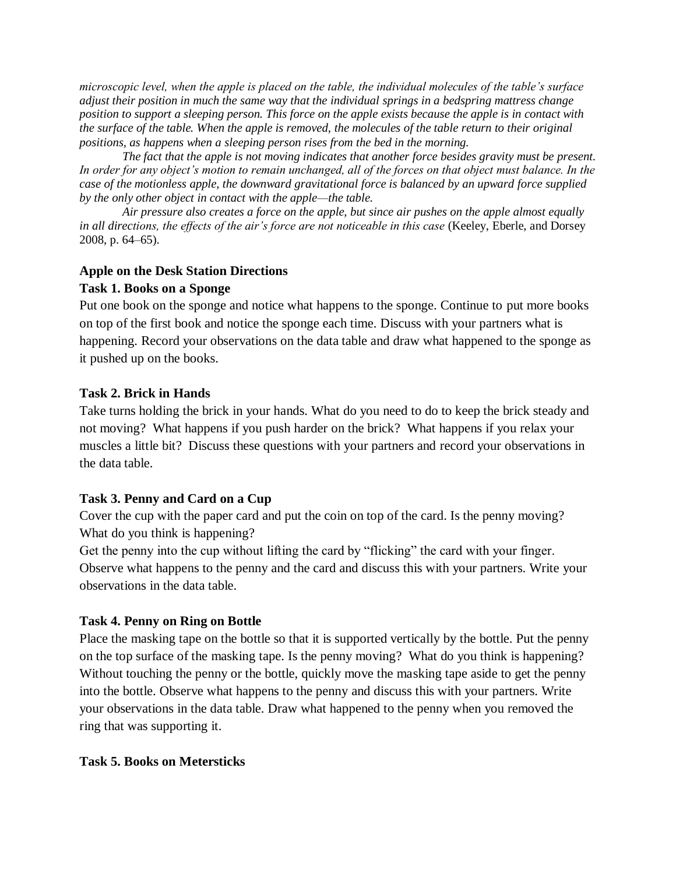*microscopic level, when the apple is placed on the table, the individual molecules of the table's surface adjust their position in much the same way that the individual springs in a bedspring mattress change position to support a sleeping person. This force on the apple exists because the apple is in contact with the surface of the table. When the apple is removed, the molecules of the table return to their original positions, as happens when a sleeping person rises from the bed in the morning.*

*The fact that the apple is not moving indicates that another force besides gravity must be present. In order for any object's motion to remain unchanged, all of the forces on that object must balance. In the case of the motionless apple, the downward gravitational force is balanced by an upward force supplied by the only other object in contact with the apple—the table.* 

*Air pressure also creates a force on the apple, but since air pushes on the apple almost equally in all directions, the effects of the air's force are not noticeable in this case* (Keeley, Eberle, and Dorsey 2008, p. 64–65).

#### **Apple on the Desk Station Directions**

#### **Task 1. Books on a Sponge**

Put one book on the sponge and notice what happens to the sponge. Continue to put more books on top of the first book and notice the sponge each time. Discuss with your partners what is happening. Record your observations on the data table and draw what happened to the sponge as it pushed up on the books.

#### **Task 2. Brick in Hands**

Take turns holding the brick in your hands. What do you need to do to keep the brick steady and not moving? What happens if you push harder on the brick? What happens if you relax your muscles a little bit? Discuss these questions with your partners and record your observations in the data table.

## **Task 3. Penny and Card on a Cup**

Cover the cup with the paper card and put the coin on top of the card. Is the penny moving? What do you think is happening?

Get the penny into the cup without lifting the card by "flicking" the card with your finger. Observe what happens to the penny and the card and discuss this with your partners. Write your observations in the data table.

## **Task 4. Penny on Ring on Bottle**

Place the masking tape on the bottle so that it is supported vertically by the bottle. Put the penny on the top surface of the masking tape. Is the penny moving? What do you think is happening? Without touching the penny or the bottle, quickly move the masking tape aside to get the penny into the bottle. Observe what happens to the penny and discuss this with your partners. Write your observations in the data table. Draw what happened to the penny when you removed the ring that was supporting it.

## **Task 5. Books on Metersticks**